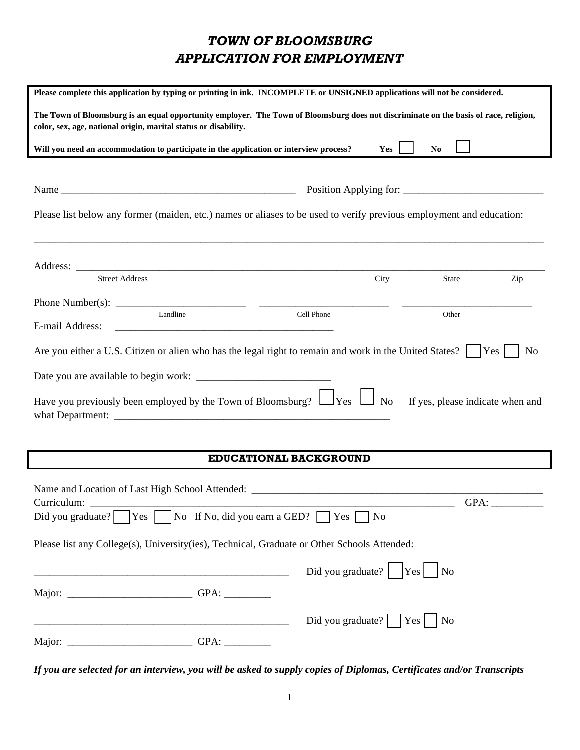# *TOWN OF BLOOMSBURG APPLICATION FOR EMPLOYMENT*

| Please complete this application by typing or printing in ink. INCOMPLETE or UNSIGNED applications will not be considered.                                                                               |                                                                                                   |      |                        |     |
|----------------------------------------------------------------------------------------------------------------------------------------------------------------------------------------------------------|---------------------------------------------------------------------------------------------------|------|------------------------|-----|
| The Town of Bloomsburg is an equal opportunity employer. The Town of Bloomsburg does not discriminate on the basis of race, religion,<br>color, sex, age, national origin, marital status or disability. |                                                                                                   |      |                        |     |
| Will you need an accommodation to participate in the application or interview process?                                                                                                                   |                                                                                                   | Yes  | N <sub>0</sub>         |     |
|                                                                                                                                                                                                          |                                                                                                   |      |                        |     |
|                                                                                                                                                                                                          |                                                                                                   |      | Position Applying for: |     |
| Please list below any former (maiden, etc.) names or aliases to be used to verify previous employment and education:                                                                                     |                                                                                                   |      |                        |     |
| <u> 1989 - Johann Stoff, deutscher Stoff, der Stoff, der Stoff, der Stoff, der Stoff, der Stoff, der Stoff, der S</u>                                                                                    |                                                                                                   |      |                        |     |
| <b>Street Address</b>                                                                                                                                                                                    |                                                                                                   | City | State                  | Zip |
|                                                                                                                                                                                                          |                                                                                                   |      |                        |     |
|                                                                                                                                                                                                          | Cell Phone                                                                                        |      | Other                  |     |
| E-mail Address:                                                                                                                                                                                          |                                                                                                   |      |                        |     |
| Are you either a U.S. Citizen or alien who has the legal right to remain and work in the United States? $\vert \vert$  Yes $\vert \vert$                                                                 |                                                                                                   |      |                        | No  |
|                                                                                                                                                                                                          |                                                                                                   |      |                        |     |
| Have you previously been employed by the Town of Bloomsburg? $\Box$ Yes $\Box$ No If yes, please indicate when and                                                                                       |                                                                                                   |      |                        |     |
|                                                                                                                                                                                                          |                                                                                                   |      |                        |     |
|                                                                                                                                                                                                          | EDUCATIONAL BACKGROUND                                                                            |      |                        |     |
|                                                                                                                                                                                                          |                                                                                                   |      |                        |     |
| Curriculum:                                                                                                                                                                                              |                                                                                                   |      | $GPA:$ $\_$            |     |
| Did you graduate? $\Box$ Yes $\Box$ No If No, did you earn a GED? $\Box$ Yes $\Box$ No                                                                                                                   |                                                                                                   |      |                        |     |
|                                                                                                                                                                                                          |                                                                                                   |      |                        |     |
| Please list any College(s), University(ies), Technical, Graduate or Other Schools Attended:                                                                                                              |                                                                                                   |      |                        |     |
|                                                                                                                                                                                                          | Did you graduate? $\begin{array}{ c c c c c } \hline \text{Ves} & \text{No} \\\hline \end{array}$ |      |                        |     |
|                                                                                                                                                                                                          |                                                                                                   |      |                        |     |
| <u> 2002 - Jan James James Jan James James Jan James James James James James James James James James James James</u>                                                                                     | Did you graduate? $\sqrt{Y}$ Yes $\sqrt{N}$                                                       |      |                        |     |
|                                                                                                                                                                                                          |                                                                                                   |      |                        |     |

 $\lceil$ 

*If you are selected for an interview, you will be asked to supply copies of Diplomas, Certificates and/or Transcripts*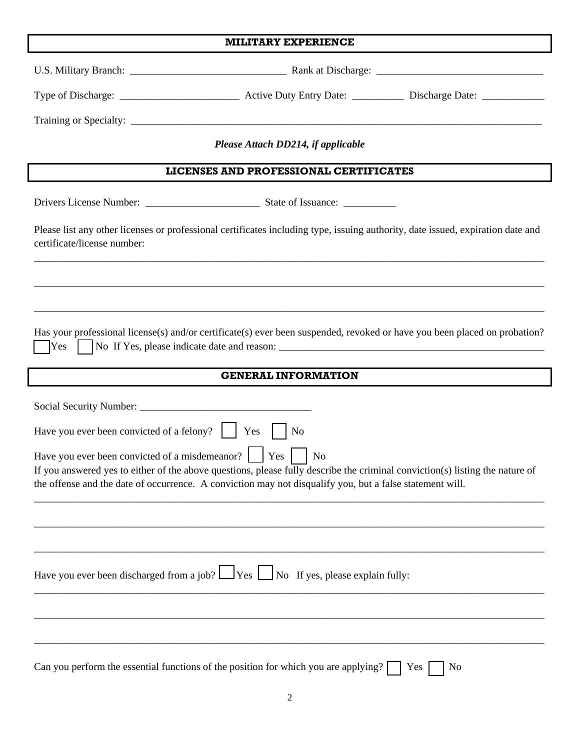|                                                           | Please Attach DD214, if applicable                                                                                                                                                                                                                         |           |
|-----------------------------------------------------------|------------------------------------------------------------------------------------------------------------------------------------------------------------------------------------------------------------------------------------------------------------|-----------|
|                                                           | LICENSES AND PROFESSIONAL CERTIFICATES                                                                                                                                                                                                                     |           |
|                                                           |                                                                                                                                                                                                                                                            |           |
| certificate/license number:                               | Please list any other licenses or professional certificates including type, issuing authority, date issued, expiration date and                                                                                                                            |           |
|                                                           | <u>,这个人都不能在这个人的时候,我们就会在这个人的时候,我们就会在这个人的时候,我们就会在这个人的时候,我们就会在这个人的时候,我们就会在这个人的时候,我们</u>                                                                                                                                                                       |           |
|                                                           |                                                                                                                                                                                                                                                            |           |
|                                                           | Has your professional license(s) and/or certificate(s) ever been suspended, revoked or have you been placed on probation?                                                                                                                                  |           |
|                                                           | <b>GENERAL INFORMATION</b>                                                                                                                                                                                                                                 |           |
|                                                           |                                                                                                                                                                                                                                                            |           |
| Have you ever been convicted of a felony? $ $ $ $ Yes $ $ | No                                                                                                                                                                                                                                                         |           |
| Have you ever been convicted of a misdemeanor?     Yes    | N <sub>o</sub><br>If you answered yes to either of the above questions, please fully describe the criminal conviction(s) listing the nature of<br>the offense and the date of occurrence. A conviction may not disqualify you, but a false statement will. |           |
|                                                           |                                                                                                                                                                                                                                                            |           |
|                                                           |                                                                                                                                                                                                                                                            |           |
|                                                           | Have you ever been discharged from a job? $\Box$ Yes $\Box$ No If yes, please explain fully:                                                                                                                                                               |           |
|                                                           |                                                                                                                                                                                                                                                            |           |
|                                                           |                                                                                                                                                                                                                                                            |           |
|                                                           | Can you perform the essential functions of the position for which you are applying? $\lceil$                                                                                                                                                               | No<br>Yes |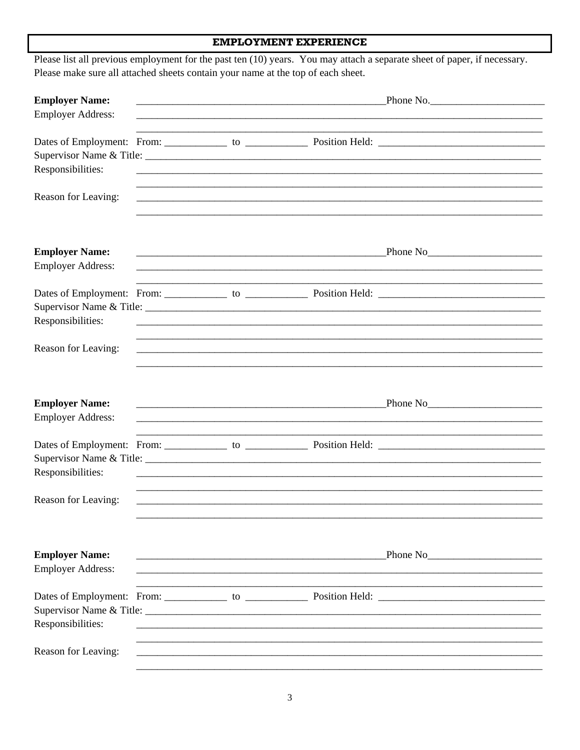## **EMPLOYMENT EXPERIENCE**

| <b>Employer Name:</b>                             |                                                                                                                       |                                                                                                                                                                                                                                                                              |  |  |
|---------------------------------------------------|-----------------------------------------------------------------------------------------------------------------------|------------------------------------------------------------------------------------------------------------------------------------------------------------------------------------------------------------------------------------------------------------------------------|--|--|
| <b>Employer Address:</b>                          |                                                                                                                       |                                                                                                                                                                                                                                                                              |  |  |
| Responsibilities:                                 |                                                                                                                       |                                                                                                                                                                                                                                                                              |  |  |
| Reason for Leaving:                               |                                                                                                                       | ,我们就会在这里的时候,我们就会在这里的时候,我们就会在这里的时候,我们就会在这里的时候,我们就会在这里的时候,我们就会在这里的时候,我们就会在这里的时候,我们<br><u> 1989 - Johann Stoff, deutscher Stoff, der Stoff, der Stoff, der Stoff, der Stoff, der Stoff, der Stoff, der S</u>                                                                    |  |  |
| <b>Employer Name:</b><br><b>Employer Address:</b> |                                                                                                                       | <u> 1989 - Johann Stoff, deutscher Stoff, der Stoff, der Stoff, der Stoff, der Stoff, der Stoff, der Stoff, der S</u>                                                                                                                                                        |  |  |
| Responsibilities:                                 | <u> 1989 - Johann Stoff, deutscher Stoff, der Stoff, der Stoff, der Stoff, der Stoff, der Stoff, der Stoff, der S</u> |                                                                                                                                                                                                                                                                              |  |  |
| Reason for Leaving:                               |                                                                                                                       | ,我们就会在这里的人,我们就会在这里的人,我们就会在这里的人,我们就会在这里的人,我们就会在这里的人,我们就会在这里的人,我们就会在这里的人,我们就会在这里,我                                                                                                                                                                                             |  |  |
| <b>Employer Name:</b><br><b>Employer Address:</b> |                                                                                                                       | <u> 1989 - Johann Stoff, deutscher Stoff, der Stoff, der Stoff, der Stoff, der Stoff, der Stoff, der Stoff, der S</u>                                                                                                                                                        |  |  |
| Responsibilities:                                 |                                                                                                                       |                                                                                                                                                                                                                                                                              |  |  |
| Reason for Leaving:                               |                                                                                                                       |                                                                                                                                                                                                                                                                              |  |  |
| <b>Employer Name:</b><br><b>Employer Address:</b> |                                                                                                                       | Phone No<br><u>Phone No</u><br><u> 1980 - Johann John Stone, mars and de British and de British and de British and de British and de British an</u><br><u> 1990 - Jan James James Barnett, martin amerikan basar dan berkembang dan berkembang dan berkembang dan berkem</u> |  |  |
| Responsibilities:                                 |                                                                                                                       |                                                                                                                                                                                                                                                                              |  |  |
| Reason for Leaving:                               |                                                                                                                       |                                                                                                                                                                                                                                                                              |  |  |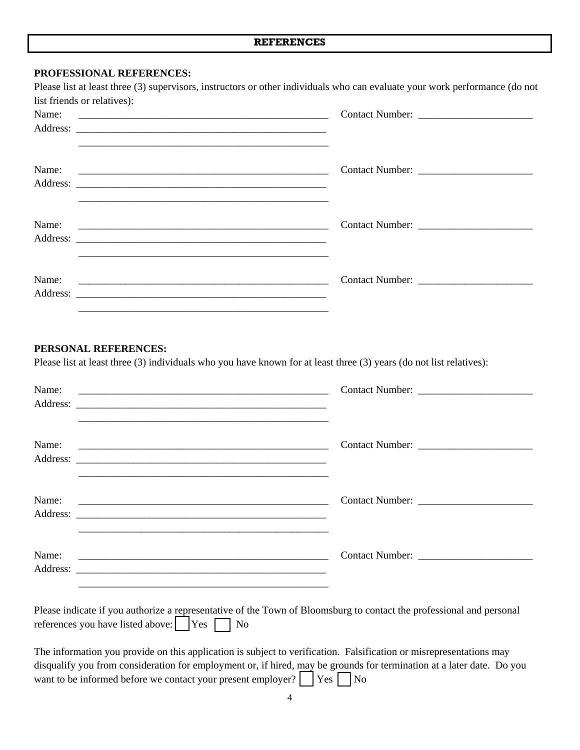#### **PROFESSIONAL REFERENCES:**

| list friends or relatives):                                                                                                                                                                                                          |  |
|--------------------------------------------------------------------------------------------------------------------------------------------------------------------------------------------------------------------------------------|--|
|                                                                                                                                                                                                                                      |  |
|                                                                                                                                                                                                                                      |  |
|                                                                                                                                                                                                                                      |  |
| Address: <u>Address</u> : Address: Address: Address: Address: Address: Address: Address: Address: Address: Address: Address: Address: Address: Address: Address: Address: Address: Address: Address: Address: Address: Address: Addr |  |
|                                                                                                                                                                                                                                      |  |

#### **PERSONAL REFERENCES:**

Please list at least three (3) individuals who you have known for at least three (3) years (do not list relatives):

| Name: | <u> 1989 - Johann John Stone, market fan de Amerikaanske kommunister fan de Amerikaanske kommunister fan de Amerikaans</u> |  |
|-------|----------------------------------------------------------------------------------------------------------------------------|--|
| Name: |                                                                                                                            |  |
| Name: | <u> 1989 - Johann Harry Harry Harry Harry Harry Harry Harry Harry Harry Harry Harry Harry Harry Harry Harry Harry</u>      |  |
| Name: |                                                                                                                            |  |

| Please indicate if you authorize a representative of the Town of Bloomsburg to contact the professional and personal |  |  |  |
|----------------------------------------------------------------------------------------------------------------------|--|--|--|
| references you have listed above: $\boxed{\phantom{a}}$ Yes $\boxed{\phantom{a}}$ No                                 |  |  |  |

The information you provide on this application is subject to verification. Falsification or misrepresentations may disqualify you from consideration for employment or, if hired, may be grounds for termination at a later date. Do you want to be informed before we contact your present employer?  $\Box$  Yes  $\Box$  No